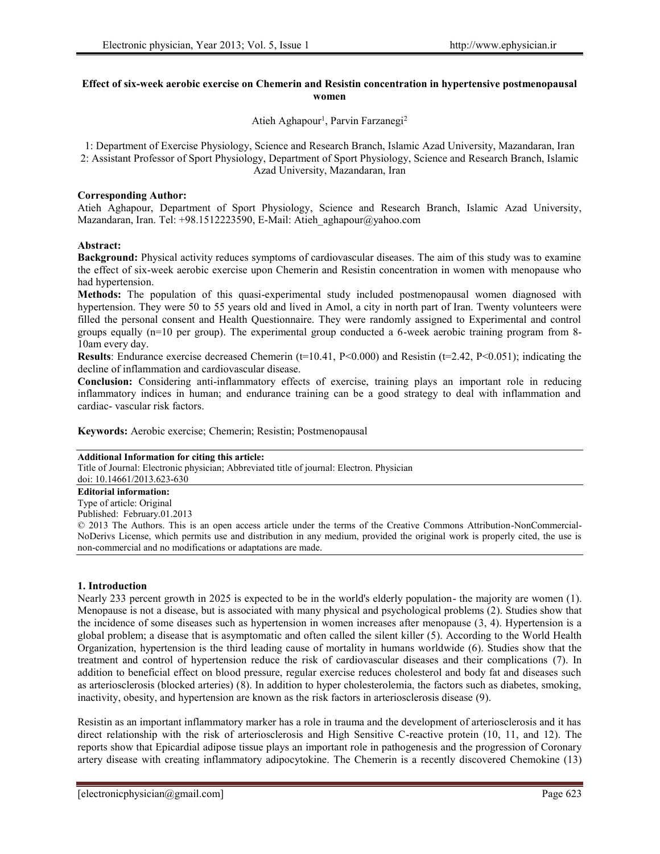## **Effect of six-week aerobic exercise on Chemerin and Resistin concentration in hypertensive postmenopausal women**

Atieh Aghapour<sup>1</sup>, Parvin Farzanegi<sup>2</sup>

1: Department of Exercise Physiology, Science and Research Branch, Islamic Azad University, Mazandaran, Iran 2: Assistant Professor of Sport Physiology, Department of Sport Physiology, Science and Research Branch, Islamic Azad University, Mazandaran, Iran

## **Corresponding Author:**

Atieh Aghapour, Department of Sport Physiology, Science and Research Branch, Islamic Azad University, Mazandaran, Iran. Tel: +98.1512223590, E-Mail: Atieh\_aghapour@yahoo.com

# **Abstract:**

**Background:** Physical activity reduces symptoms of cardiovascular diseases. The aim of this study was to examine the effect of six-week aerobic exercise upon Chemerin and Resistin concentration in women with menopause who had hypertension.

**Methods:** The population of this quasi-experimental study included postmenopausal women diagnosed with hypertension. They were 50 to 55 years old and lived in Amol, a city in north part of Iran. Twenty volunteers were filled the personal consent and Health Questionnaire. They were randomly assigned to Experimental and control groups equally (n=10 per group). The experimental group conducted a 6-week aerobic training program from 8- 10am every day.

**Results**: Endurance exercise decreased Chemerin ( $t=10.41$ ,  $P<0.000$ ) and Resistin ( $t=2.42$ ,  $P<0.051$ ); indicating the decline of inflammation and cardiovascular disease.

**Conclusion:** Considering anti-inflammatory effects of exercise, training plays an important role in reducing inflammatory indices in human; and endurance training can be a good strategy to deal with inflammation and cardiac- vascular risk factors.

**Keywords:** Aerobic exercise; Chemerin; Resistin; Postmenopausal

## **Additional Information for citing this article:**

Title of Journal: Electronic physician; Abbreviated title of journal: Electron. Physician

doi: 10.14661/2013.623-630 **Editorial information:**

Type of article: Original

Published: February.01.2013

© 2013 The Authors. This is an open access article under the terms of the Creative Commons Attribution-NonCommercial- NoDerivs License, which permits use and distribution in any medium, provided the original work is properly cited, the use is non-commercial and no modifications or adaptations are made.

## **1. Introduction**

Nearly 233 percent growth in 2025 is expected to be in the world's elderly population- the majority are women (1). Menopause is not a disease, but is associated with many physical and psychological problems (2). Studies show that the incidence of some diseases such as hypertension in women increases after menopause (3, 4). Hypertension is a global problem; a disease that is asymptomatic and often called the silent killer (5). According to the World Health Organization, hypertension is the third leading cause of mortality in humans worldwide (6). Studies show that the treatment and control of hypertension reduce the risk of cardiovascular diseases and their complications (7). In addition to beneficial effect on blood pressure, regular exercise reduces cholesterol and body fat and diseases such as arteriosclerosis (blocked arteries) (8). In addition to hyper cholesterolemia, the factors such as diabetes, smoking, inactivity, obesity, and hypertension are known as the risk factors in arteriosclerosis disease (9).

Resistin as an important inflammatory marker has a role in trauma and the development of arteriosclerosis and it has direct relationship with the risk of arteriosclerosis and High Sensitive C-reactive protein (10, 11, and 12). The reports show that Epicardial adipose tissue plays an important role in pathogenesis and the progression of Coronary artery disease with creating inflammatory adipocytokine. The Chemerin is a recently discovered Chemokine (13)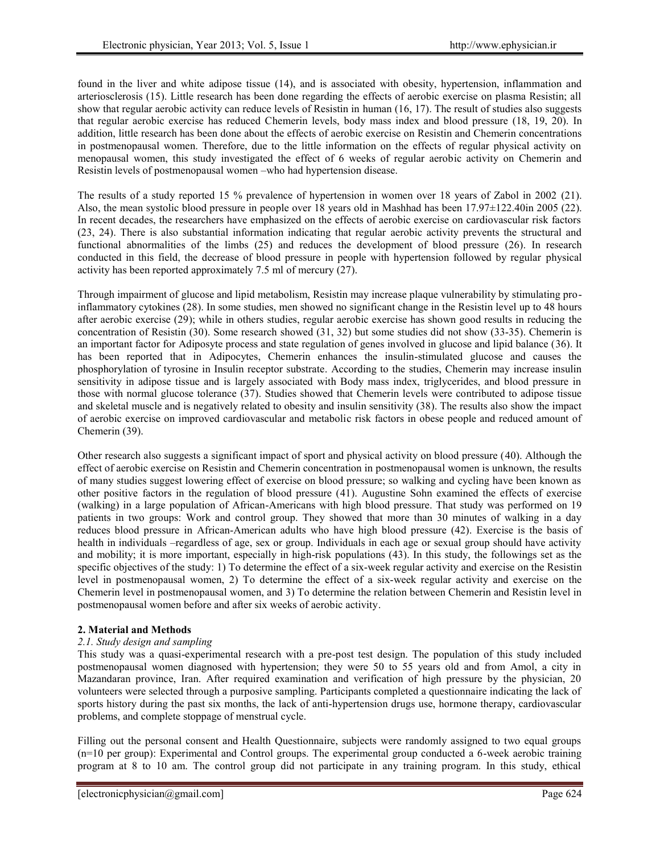found in the liver and white adipose tissue (14), and is associated with obesity, hypertension, inflammation and arteriosclerosis (15). Little research has been done regarding the effects of aerobic exercise on plasma Resistin; all show that regular aerobic activity can reduce levels of Resistin in human (16, 17). The result of studies also suggests that regular aerobic exercise has reduced Chemerin levels, body mass index and blood pressure (18, 19, 20). In addition, little research has been done about the effects of aerobic exercise on Resistin and Chemerin concentrations in postmenopausal women. Therefore, due to the little information on the effects of regular physical activity on menopausal women, this study investigated the effect of 6 weeks of regular aerobic activity on Chemerin and Resistin levels of postmenopausal women –who had hypertension disease.

The results of a study reported 15 % prevalence of hypertension in women over 18 years of Zabol in 2002 (21). Also, the mean systolic blood pressure in people over 18 years old in Mashhad has been 17.97±122.40in 2005 (22). In recent decades, the researchers have emphasized on the effects of aerobic exercise on cardiovascular risk factors (23, 24). There is also substantial information indicating that regular aerobic activity prevents the structural and functional abnormalities of the limbs (25) and reduces the development of blood pressure (26). In research conducted in this field, the decrease of blood pressure in people with hypertension followed by regular physical activity has been reported approximately 7.5 ml of mercury (27).

Through impairment of glucose and lipid metabolism, Resistin may increase plaque vulnerability by stimulating proinflammatory cytokines (28). In some studies, men showed no significant change in the Resistin level up to 48 hours after aerobic exercise (29); while in others studies, regular aerobic exercise has shown good results in reducing the concentration of Resistin (30). Some research showed (31, 32) but some studies did not show (33-35). Chemerin is an important factor for Adiposyte process and state regulation of genes involved in glucose and lipid balance (36). It has been reported that in Adipocytes, Chemerin enhances the insulin-stimulated glucose and causes the phosphorylation of tyrosine in Insulin receptor substrate. According to the studies, Chemerin may increase insulin sensitivity in adipose tissue and is largely associated with Body mass index, triglycerides, and blood pressure in those with normal glucose tolerance (37). Studies showed that Chemerin levels were contributed to adipose tissue and skeletal muscle and is negatively related to obesity and insulin sensitivity (38). The results also show the impact of aerobic exercise on improved cardiovascular and metabolic risk factors in obese people and reduced amount of Chemerin (39).

Other research also suggests a significant impact of sport and physical activity on blood pressure (40). Although the effect of aerobic exercise on Resistin and Chemerin concentration in postmenopausal women is unknown, the results of many studies suggest lowering effect of exercise on blood pressure; so walking and cycling have been known as other positive factors in the regulation of blood pressure (41). Augustine Sohn examined the effects of exercise (walking) in a large population of African-Americans with high blood pressure. That study was performed on 19 patients in two groups: Work and control group. They showed that more than 30 minutes of walking in a day reduces blood pressure in African-American adults who have high blood pressure (42). Exercise is the basis of health in individuals –regardless of age, sex or group. Individuals in each age or sexual group should have activity and mobility; it is more important, especially in high-risk populations (43). In this study, the followings set as the specific objectives of the study: 1) To determine the effect of a six-week regular activity and exercise on the Resistin level in postmenopausal women, 2) To determine the effect of a six-week regular activity and exercise on the Chemerin level in postmenopausal women, and 3) To determine the relation between Chemerin and Resistin level in postmenopausal women before and after six weeks of aerobic activity.

# **2. Material and Methods**

# *2.1. Study design and sampling*

This study was a quasi-experimental research with a pre-post test design. The population of this study included postmenopausal women diagnosed with hypertension; they were 50 to 55 years old and from Amol, a city in Mazandaran province, Iran. After required examination and verification of high pressure by the physician, 20 volunteers were selected through a purposive sampling. Participants completed a questionnaire indicating the lack of sports history during the past six months, the lack of anti-hypertension drugs use, hormone therapy, cardiovascular problems, and complete stoppage of menstrual cycle.

Filling out the personal consent and Health Questionnaire, subjects were randomly assigned to two equal groups (n=10 per group): Experimental and Control groups. The experimental group conducted a 6-week aerobic training program at 8 to 10 am. The control group did not participate in any training program. In this study, ethical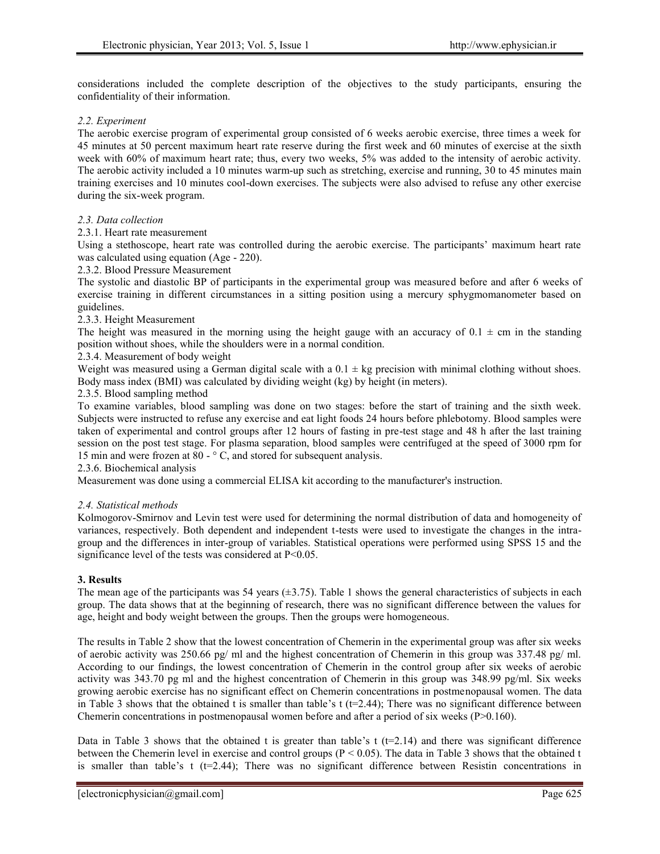considerations included the complete description of the objectives to the study participants, ensuring the confidentiality of their information.

#### *2.2. Experiment*

The aerobic exercise program of experimental group consisted of 6 weeks aerobic exercise, three times a week for 45 minutes at 50 percent maximum heart rate reserve during the first week and 60 minutes of exercise at the sixth week with 60% of maximum heart rate; thus, every two weeks, 5% was added to the intensity of aerobic activity. The aerobic activity included a 10 minutes warm-up such as stretching, exercise and running, 30 to 45 minutes main training exercises and 10 minutes cool-down exercises. The subjects were also advised to refuse any other exercise during the six-week program.

#### *2.3. Data collection*

#### 2.3.1. Heart rate measurement

Using a stethoscope, heart rate was controlled during the aerobic exercise. The participants' maximum heart rate was calculated using equation (Age - 220).

2.3.2. Blood Pressure Measurement

The systolic and diastolic BP of participants in the experimental group was measured before and after 6 weeks of exercise training in different circumstances in a sitting position using a mercury sphygmomanometer based on guidelines.

#### 2.3.3. Height Measurement

The height was measured in the morning using the height gauge with an accuracy of  $0.1 \pm \text{cm}$  in the standing position without shoes, while the shoulders were in a normal condition.

2.3.4. Measurement of body weight

Weight was measured using a German digital scale with a  $0.1 \pm \text{kg}$  precision with minimal clothing without shoes. Body mass index (BMI) was calculated by dividing weight (kg) by height (in meters).

#### 2.3.5. Blood sampling method

To examine variables, blood sampling was done on two stages: before the start of training and the sixth week. Subjects were instructed to refuse any exercise and eat light foods 24 hours before phlebotomy. Blood samples were taken of experimental and control groups after 12 hours of fasting in pre-test stage and 48 h after the last training session on the post test stage. For plasma separation, blood samples were centrifuged at the speed of 3000 rpm for 15 min and were frozen at 80 - ° C, and stored for subsequent analysis.

2.3.6. Biochemical analysis

Measurement was done using a commercial ELISA kit according to the manufacturer's instruction.

## *2.4. Statistical methods*

Kolmogorov-Smirnov and Levin test were used for determining the normal distribution of data and homogeneity of variances, respectively. Both dependent and independent t-tests were used to investigate the changes in the intra group and the differences in inter-group of variables. Statistical operations were performed using SPSS 15 and the significance level of the tests was considered at  $P<0.05$ .

#### **3. Results**

The mean age of the participants was 54 years  $(\pm 3.75)$ . Table 1 shows the general characteristics of subjects in each group. The data shows that at the beginning of research, there was no significant difference between the values for age, height and body weight between the groups. Then the groups were homogeneous.

The results in Table 2 show that the lowest concentration of Chemerin in the experimental group was after six weeks of aerobic activity was 250.66 pg/ ml and the highest concentration of Chemerin in this group was 337.48 pg/ ml. According to our findings, the lowest concentration of Chemerin in the control group after six weeks of aerobic activity was 343.70 pg ml and the highest concentration of Chemerin in this group was 348.99 pg/ml. Six weeks growing aerobic exercise has no significant effect on Chemerin concentrations in postmenopausal women. The data in Table 3 shows that the obtained t is smaller than table's  $t$  (t=2.44); There was no significant difference between Chemerin concentrations in postmenopausal women before and after a period of six weeks (P>0.160).

Data in Table 3 shows that the obtained t is greater than table's  $t$  ( $t=2.14$ ) and there was significant difference between the Chemerin level in exercise and control groups (P < 0.05). The data in Table 3 shows that the obtained t is smaller than table's  $t$  ( $t=2.44$ ); There was no significant difference between Resistin concentrations in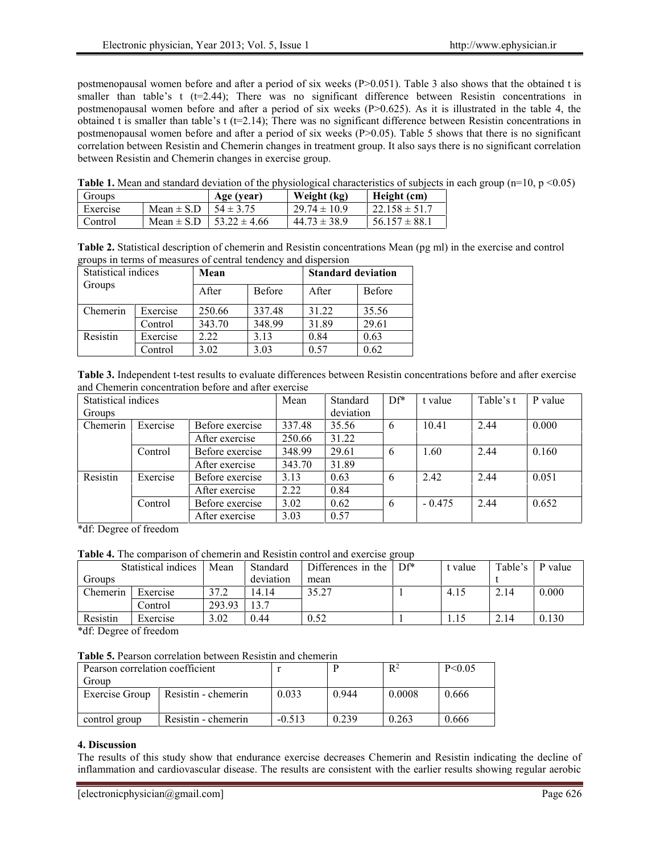postmenopausal women before and after a period of six weeks (P>0.051). Table 3 also shows that the obtained t is smaller than table's t  $(t=2.44)$ ; There was no significant difference between Resistin concentrations in postmenopausal women before and after a period of six weeks (P>0.625). As it is illustrated in the table 4, the obtained t is smaller than table's  $t$  (t=2.14); There was no significant difference between Resistin concentrations in postmenopausal women before and after a period of six weeks  $(P>0.05)$ . Table 5 shows that there is no significant correlation between Resistin and Chemerin changes in treatment group. It also says there is no significant correlation between Resistin and Chemerin changes in exercise group.

**Table 1.** Mean and standard deviation of the physiological characteristics of subjects in each group (n=10, p <0.05)

| Groups   |                | Age (year)       | Weight (kg)      | Height (cm)        |  |
|----------|----------------|------------------|------------------|--------------------|--|
| Exercise | Mean $\pm$ S.D | $54 \pm 3.75$    | $29.74 \pm 10.9$ | $122.158 \pm 51.7$ |  |
| Control  | Mean $\pm$ S.D | $53.22 \pm 4.66$ | $44.73 \pm 38.9$ | $56.157 \pm 88.1$  |  |

**Table 2.** Statistical description of chemerin and Resistin concentrations Mean (pg ml) in the exercise and control groups in terms of measures of central tendency and dispersion

| Statistical indices |          | Mean   |               | <b>Standard deviation</b> |               |  |
|---------------------|----------|--------|---------------|---------------------------|---------------|--|
| Groups              |          | After  | <b>Before</b> | After                     | <b>Before</b> |  |
| Chemerin            | Exercise | 250.66 | 337.48        | 31.22                     | 35.56         |  |
|                     | Control  | 343.70 | 348.99        | 31.89                     | 29.61         |  |
| Resistin            | Exercise | 2.22   | 3.13          | 0.84                      | 0.63          |  |
|                     | Control  | 3.02   | 3.03          | 0.57                      | 0.62          |  |

**Table 3.** Independent t-test results to evaluate differences between Resistin concentrations before and after exercise and Chemerin concentration before and after exercise

| Statistical indices |          | Mean            | Standard | $DF^*$    | t value | Table's t | P value |       |
|---------------------|----------|-----------------|----------|-----------|---------|-----------|---------|-------|
| Groups              |          |                 |          | deviation |         |           |         |       |
| Chemerin            | Exercise | Before exercise | 337.48   | 35.56     | 6       | 10.41     | 2.44    | 0.000 |
|                     |          | After exercise  | 250.66   | 31.22     |         |           |         |       |
|                     | Control  | Before exercise | 348.99   | 29.61     | 6       | 1.60      | 2.44    | 0.160 |
|                     |          | After exercise  | 343.70   | 31.89     |         |           |         |       |
| Resistin            | Exercise | Before exercise | 3.13     | 0.63      | 6       | 2.42      | 2.44    | 0.051 |
|                     |          | After exercise  | 2.22     | 0.84      |         |           |         |       |
|                     | Control  | Before exercise | 3.02     | 0.62      | 6       | $-0.475$  | 2.44    | 0.652 |
|                     |          | After exercise  | 3.03     | 0.57      |         |           |         |       |

\*df: Degree of freedom

**Table 4.** The comparison of chemerin and Resistin control and exercise group

|          | Statistical indices | Mean   | Standard  | Differences in the | $DF^*$ | t value | Table's | P value |
|----------|---------------------|--------|-----------|--------------------|--------|---------|---------|---------|
| Groups   |                     |        | deviation | mean               |        |         |         |         |
| Chemerin | Exercise            | 37.2   | 14.14     | 35.27              |        | 4.15    | 2.14    | 0.000   |
|          | Control             | 293.93 | 13.7      |                    |        |         |         |         |
| Resistin | Exercise            | 3.02   | 0.44      | 0.52               |        | 1.15    | 2.14    | 0.130   |

\*df: Degree of freedom

**Table 5.** Pearson correlation between Resistin and chemerin

| Pearson correlation coefficient      |                     |          | $R^2$ | P < 0.05 |       |
|--------------------------------------|---------------------|----------|-------|----------|-------|
| Group                                |                     |          |       |          |       |
| Exercise Group                       | Resistin - chemerin | 0.033    | 0.944 | 0.0008   | 0.666 |
|                                      |                     |          |       |          |       |
| Resistin - chemerin<br>control group |                     | $-0.513$ | 0.239 | 0.263    | 0.666 |

## **4. Discussion**

The results of this study show that endurance exercise decreases Chemerin and Resistin indicating the decline of inflammation and cardiovascular disease. The results are consistent with the earlier results showing regular aerobic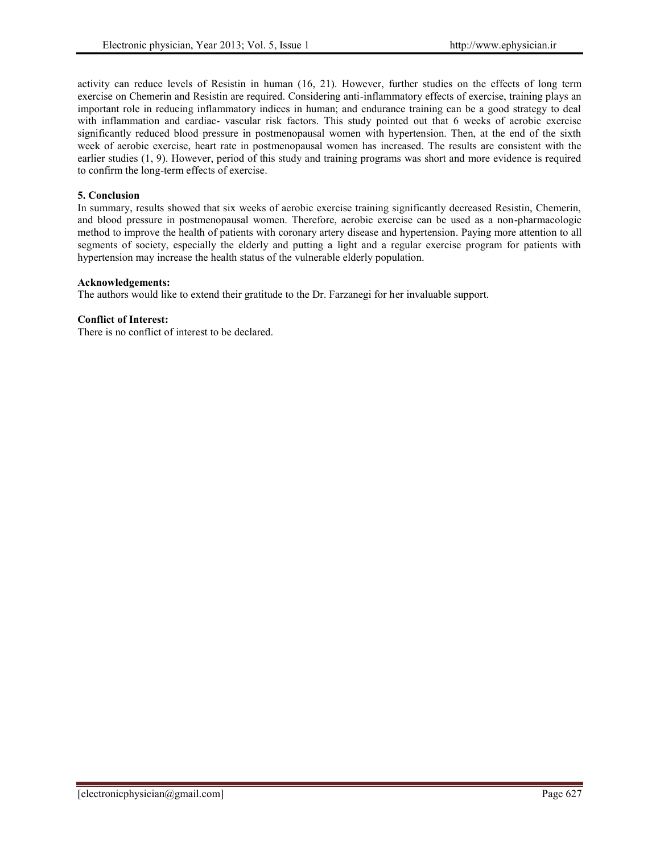activity can reduce levels of Resistin in human (16, 21). However, further studies on the effects of long term exercise on Chemerin and Resistin are required. Considering anti-inflammatory effects of exercise, training plays an important role in reducing inflammatory indices in human; and endurance training can be a good strategy to deal with inflammation and cardiac- vascular risk factors. This study pointed out that 6 weeks of aerobic exercise significantly reduced blood pressure in postmenopausal women with hypertension. Then, at the end of the sixth week of aerobic exercise, heart rate in postmenopausal women has increased. The results are consistent with the earlier studies (1, 9). However, period of this study and training programs was short and more evidence is required to confirm the long-term effects of exercise.

## **5. Conclusion**

In summary, results showed that six weeks of aerobic exercise training significantly decreased Resistin, Chemerin, and blood pressure in postmenopausal women. Therefore, aerobic exercise can be used as a non-pharmacologic method to improve the health of patients with coronary artery disease and hypertension. Paying more attention to all segments of society, especially the elderly and putting a light and a regular exercise program for patients with hypertension may increase the health status of the vulnerable elderly population.

## **Acknowledgements:**

The authors would like to extend their gratitude to the Dr. Farzanegi for her invaluable support.

## **Conflict of Interest:**

There is no conflict of interest to be declared.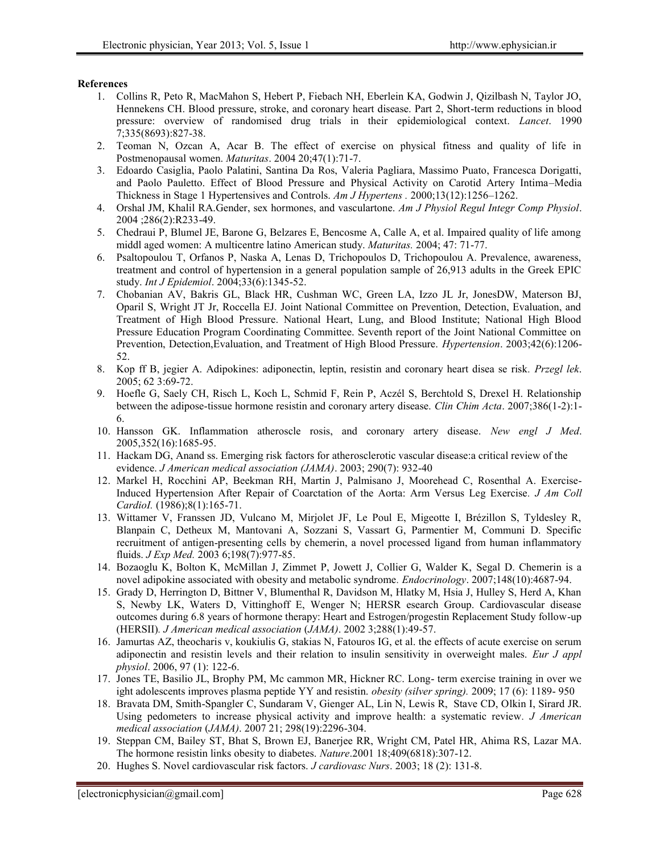### **References**

- 1. Collins R, Peto R, MacMahon S, Hebert P, Fiebach NH, Eberlein KA, Godwin J, Qizilbash N, Taylor JO, Hennekens CH. Blood pressure, stroke, and coronary heart disease. Part 2, Short-term reductions in blood pressure: overview of randomised drug trials in their epidemiological context. *Lancet*. 1990 7;335(8693):827-38.
- 2. Teoman N, Ozcan A, Acar B. The effect of exercise on physical fitness and quality of life in Postmenopausal women. *Maturitas*. 2004 20;47(1):71-7.
- 3. Edoardo Casiglia, Paolo Palatini, Santina Da Ros, Valeria Pagliara, Massimo Puato, Francesca Dorigatti, and Paolo Pauletto. Effect of Blood Pressure and Physical Activity on Carotid Artery Intima–Media Thickness in Stage 1 Hypertensives and Controls. *Am J Hypertens .* 2000;13(12):1256–1262.
- 4. Orshal JM, Khalil RA.Gender, sex hormones, and vasculartone. *Am J Physiol Regul Integr Comp Physiol*. 2004 ;286(2):R233-49.
- 5. Chedraui P, Blumel JE, Barone G, Belzares E, Bencosme A, Calle A, et al. Impaired quality of life among middl aged women: A multicentre latino American study. *Maturitas.* 2004; 47: 71-77.
- 6. Psaltopoulou T, Orfanos P, Naska A, Lenas D, Trichopoulos D, Trichopoulou A. Prevalence, awareness, treatment and control of hypertension in a general population sample of 26,913 adults in the Greek EPIC study. *Int J Epidemiol*. 2004;33(6):1345-52.
- 7. Chobanian AV, Bakris GL, Black HR, Cushman WC, Green LA, Izzo JL Jr, JonesDW, Materson BJ, Oparil S, Wright JT Jr, Roccella EJ. Joint National Committee on Prevention, Detection, Evaluation, and Treatment of High Blood Pressure. National Heart, Lung, and Blood Institute; National High Blood Pressure Education Program Coordinating Committee. Seventh report of the Joint National Committee on Prevention, Detection,Evaluation, and Treatment of High Blood Pressure. *Hypertension*. 2003;42(6):1206- 52.
- 8. Kop ff B, jegier A. Adipokines: adiponectin, leptin, resistin and coronary heart disea se risk*. Przegl lek*. 2005; 62 3:69-72.
- 9. Hoefle G, Saely CH, Risch L, Koch L, Schmid F, Rein P, Aczél S, Berchtold S, Drexel H. Relationship between the adipose-tissue hormone resistin and coronary artery disease. *Clin Chim Acta*. 2007;386(1-2):1- 6.
- 10. Hansson GK. Inflammation atheroscle rosis, and coronary artery disease. *New engl J Med*. 2005,352(16):1685-95.
- 11. Hackam DG, Anand ss. Emerging risk factors for atherosclerotic vascular disease:a critical review of the evidence. *J American medical association (JAMA)*. 2003; 290(7): 932-40
- 12. Markel H, Rocchini AP, Beekman RH, Martin J, Palmisano J, Moorehead C, Rosenthal A. Exercise-Induced Hypertension After Repair of Coarctation of the Aorta: Arm Versus Leg Exercise*. J Am Coll CardioI.* (1986);8(1):165-71.
- 13. Wittamer V, Franssen JD, Vulcano M, Mirjolet JF, Le Poul E, Migeotte I, Brézillon S, Tyldesley R, Blanpain C, Detheux M, Mantovani A, Sozzani S, Vassart G, Parmentier M, Communi D. Specific recruitment of antigen-presenting cells by chemerin, a novel processed ligand from human inflammatory fluids. *J Exp Med.* 2003 6;198(7):977-85.
- 14. Bozaoglu K, Bolton K, McMillan J, Zimmet P, Jowett J, Collier G, Walder K, Segal D. Chemerin is a novel adipokine associated with obesity and metabolic syndrome*. Endocrinology*. 2007;148(10):4687-94.
- 15. Grady D, Herrington D, Bittner V, Blumenthal R, Davidson M, Hlatky M, Hsia J, Hulley S, Herd A, Khan S, Newby LK, Waters D, Vittinghoff E, Wenger N; HERSR esearch Group. Cardiovascular disease outcomes during 6.8 years of hormone therapy: Heart and Estrogen/progestin Replacement Study follow-up (HERSII)*. J American medical association* (*JAMA)*. 2002 3;288(1):49-57.
- 16. Jamurtas AZ, theocharis v, koukiulis G, stakias N, Fatouros IG, et al. the effects of acute exercise on serum adiponectin and resistin levels and their relation to insulin sensitivity in overweight males. *Eur J appl physiol*. 2006, 97 (1): 122-6.
- 17. Jones TE, Basilio JL, Brophy PM, Mc cammon MR, Hickner RC. Long- term exercise training in over we ight adolescents improves plasma peptide YY and resistin. *obesity (silver spring).* 2009; 17 (6): 1189- 950
- 18. Bravata DM, Smith-Spangler C, Sundaram V, Gienger AL, Lin N, Lewis R, Stave CD, Olkin I, Sirard JR. Using pedometers to increase physical activity and improve health: a systematic review*. J American medical association* (*JAMA)*. 2007 21; 298(19):2296-304.
- 19. Steppan CM, Bailey ST, Bhat S, Brown EJ, Banerjee RR, Wright CM, Patel HR, Ahima RS, Lazar MA. The hormone resistin links obesity to diabetes. *Nature*.2001 18;409(6818):307-12.
- 20. Hughes S. Novel cardiovascular risk factors. *J cardiovasc Nurs*. 2003; 18 (2): 131-8.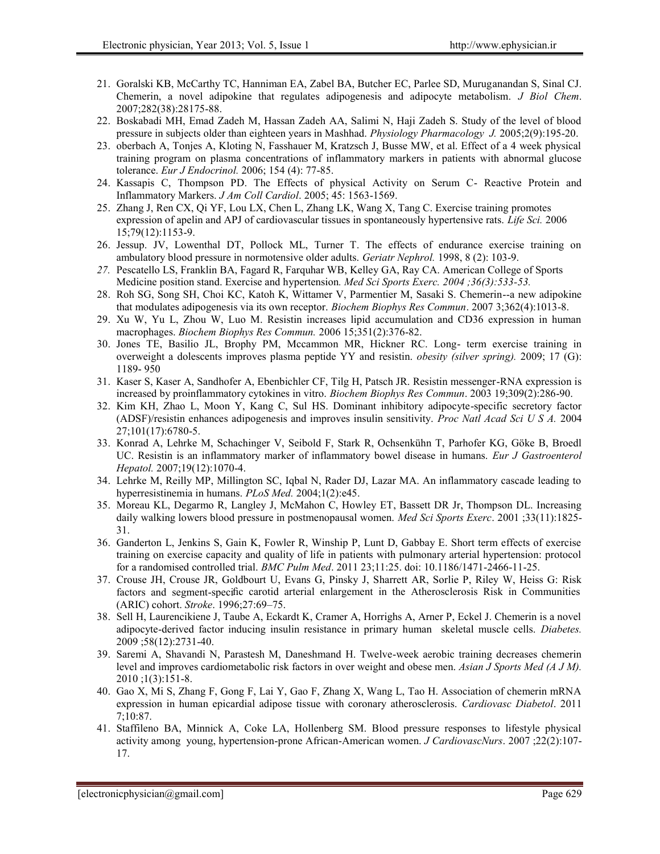- 21. Goralski KB, McCarthy TC, Hanniman EA, Zabel BA, Butcher EC, Parlee SD, Muruganandan S, Sinal CJ. Chemerin, a novel adipokine that regulates adipogenesis and adipocyte metabolism. *J Biol Chem*. 2007;282(38):28175-88.
- 22. Boskabadi MH, Emad Zadeh M, Hassan Zadeh AA, Salimi N, Haji Zadeh S. Study of the level of blood pressure in subjects older than eighteen years in Mashhad. *Physiology Pharmacology J.* 2005;2(9):195-20.
- 23. oberbach A, Tonjes A, Kloting N, Fasshauer M, Kratzsch J, Busse MW, et al. Effect of a 4 week physical training program on plasma concentrations of inflammatory markers in patients with abnormal glucose tolerance. *Eur J Endocrinol.* 2006; 154 (4): 77-85.
- 24. Kassapis C, Thompson PD. The Effects of physical Activity on Serum C- Reactive Protein and Inflammatory Markers. *J Am Coll Cardiol*. 2005; 45: 1563-1569.
- 25. Zhang J, Ren CX, Qi YF, Lou LX, Chen L, Zhang LK, Wang X, Tang C. Exercise training promotes expression of apelin and APJ of cardiovascular tissues in spontaneously hypertensive rats. *Life Sci.* 2006 15;79(12):1153-9.
- 26. Jessup. JV, Lowenthal DT, Pollock ML, Turner T. The effects of endurance exercise training on ambulatory blood pressure in normotensive older adults. *Geriatr Nephrol.* 1998, 8 (2): 103-9.
- *27.* Pescatello LS, Franklin BA, Fagard R, Farquhar WB, Kelley GA, Ray CA. American College of Sports Medicine position stand. Exercise and hypertension*. Med Sci Sports Exerc. 2004 ;36(3):533-53.*
- 28. Roh SG, Song SH, Choi KC, Katoh K, Wittamer V, Parmentier M, Sasaki S. Chemerin--a new adipokine that modulates adipogenesis via its own receptor. *Biochem Biophys Res Commun*. 2007 3;362(4):1013-8.
- 29. Xu W, Yu L, Zhou W, Luo M. Resistin increases lipid accumulation and CD36 expression in human macrophages. *Biochem Biophys Res Commun.* 2006 15;351(2):376-82.
- 30. Jones TE, Basilio JL, Brophy PM, Mccammon MR, Hickner RC. Long- term exercise training in overweight a dolescents improves plasma peptide YY and resistin. *obesity (silver spring).* 2009; 17 (G): 1189- 950
- 31. Kaser S, Kaser A, Sandhofer A, Ebenbichler CF, Tilg H, Patsch JR. Resistin messenger-RNA expression is increased by proinflammatory cytokines in vitro. *Biochem Biophys Res Commun*. 2003 19;309(2):286-90.
- 32. Kim KH, Zhao L, Moon Y, Kang C, Sul HS. Dominant inhibitory adipocyte-specific secretory factor (ADSF)/resistin enhances adipogenesis and improves insulin sensitivity. *Proc Natl Acad Sci U S A.* 2004 27;101(17):6780-5.
- 33. Konrad A, Lehrke M, Schachinger V, Seibold F, Stark R, Ochsenkühn T, Parhofer KG, Göke B, Broedl UC. Resistin is an inflammatory marker of inflammatory bowel disease in humans. *Eur J Gastroenterol Hepatol.* 2007;19(12):1070-4.
- 34. Lehrke M, Reilly MP, Millington SC, Iqbal N, Rader DJ, Lazar MA. An inflammatory cascade leading to hyperresistinemia in humans. *PLoS Med.* 2004;1(2):e45.
- 35. Moreau KL, Degarmo R, Langley J, McMahon C, Howley ET, Bassett DR Jr, Thompson DL. Increasing daily walking lowers blood pressure in postmenopausal women. *Med Sci Sports Exerc*. 2001 ;33(11):1825- 31.
- 36. Ganderton L, Jenkins S, Gain K, Fowler R, Winship P, Lunt D, Gabbay E. Short term effects of exercise training on exercise capacity and quality of life in patients with pulmonary arterial hypertension: protocol for a randomised controlled trial. *BMC Pulm Med*. 2011 23;11:25. doi: 10.1186/1471-2466-11-25.
- 37. Crouse JH, Crouse JR, Goldbourt U, Evans G, Pinsky J, Sharrett AR, Sorlie P, Riley W, Heiss G: Risk factors and segment-specific carotid arterial enlargement in the Atherosclerosis Risk in Communities (ARIC) cohort. *Stroke*. 1996;27:69–75.
- 38. Sell H, Laurencikiene J, Taube A, Eckardt K, Cramer A, Horrighs A, Arner P, Eckel J. Chemerin is a novel adipocyte-derived factor inducing insulin resistance in primary human skeletal muscle cells. *Diabetes.* 2009 ;58(12):2731-40.
- 39. Saremi A, Shavandi N, Parastesh M, Daneshmand H. Twelve-week aerobic training decreases chemerin level and improves cardiometabolic risk factors in over weight and obese men. *Asian J Sports Med (A J M).* 2010 ;1(3):151-8.
- 40. Gao X, Mi S, Zhang F, Gong F, Lai Y, Gao F, Zhang X, Wang L, Tao H. Association of chemerin mRNA expression in human epicardial adipose tissue with coronary atherosclerosis. *Cardiovasc Diabetol*. 2011 7;10:87.
- 41. Staffileno BA, Minnick A, Coke LA, Hollenberg SM. Blood pressure responses to lifestyle physical activity among young, hypertension-prone African-American women. *J CardiovascNurs*. 2007 ;22(2):107- 17.